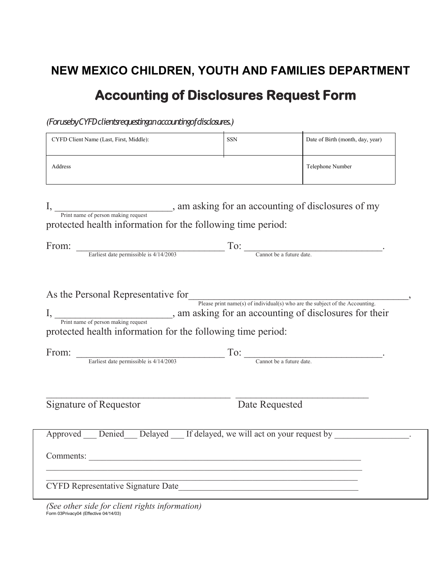## **NEW MEXICO CHILDREN, YOUTH AND FAMILIES DEPARTMENT Accounting of Disclosures Request Form**

*(For use by CYFDclients requesting an accounting of disclosures.)*

| CYFD Client Name (Last, First, Middle):                                                            | <b>SSN</b>                                         | Date of Birth (month, day, year) |
|----------------------------------------------------------------------------------------------------|----------------------------------------------------|----------------------------------|
| Address                                                                                            | Telephone Number                                   |                                  |
| Print name of person making request<br>protected health information for the following time period: | , am asking for an accounting of disclosures of my |                                  |

| From: |                                        |                          |  |
|-------|----------------------------------------|--------------------------|--|
|       | Earliest date permissible is 4/14/2003 | Cannot be a future date. |  |
|       |                                        |                          |  |

As the Personal Representative for  $\overline{\phantom{a}}$ ,

Please print name(s) of individual(s) who are the subject of the Accounting. I, am asking for an accounting of disclosures for their Print name of person making request

protected health information for the following time period:

| From: |                                        |                          |  |
|-------|----------------------------------------|--------------------------|--|
|       | Earliest date permissible is 4/14/2003 | Cannot be a future date. |  |

Signature of Requestor Date Requested

| Approved Denied Delayed If delayed, we will act on your request by |  |
|--------------------------------------------------------------------|--|
| Comments:                                                          |  |
| <b>CYFD Representative Signature Date</b>                          |  |

*(See other side for client rights information)* Form 03Privacy04 (Effective 04/14/03)